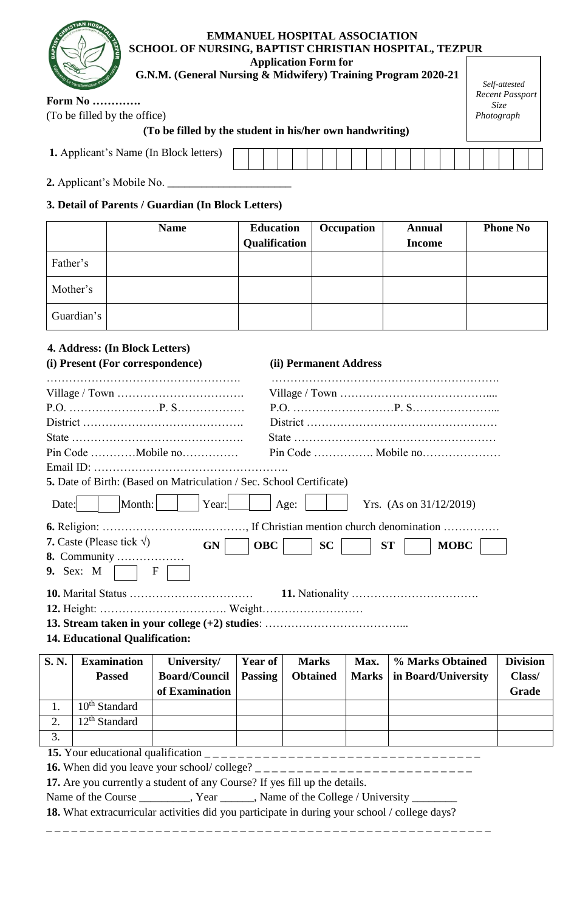| <b>EMMANUEL HOSPITAL ASSOCIATION</b><br>SCHOOL OF NURSING, BAPTIST CHRISTIAN HOSPITAL, TEZPUR |                                         |
|-----------------------------------------------------------------------------------------------|-----------------------------------------|
| <b>Application Form for</b>                                                                   |                                         |
| G.N.M. (General Nursing & Midwifery) Training Program 2020-21                                 |                                         |
|                                                                                               | Self-attested<br><b>Recent Passport</b> |
| <b>Form No </b>                                                                               | <i>Size</i>                             |
| (To be filled by the office)                                                                  | Photograph                              |
| (To be filled by the student in his/her own handwriting)                                      |                                         |
|                                                                                               |                                         |

| <b>1.</b> Applicant's Name (In Block letters) |  |  |  |  |  |  |  |  |  |  |
|-----------------------------------------------|--|--|--|--|--|--|--|--|--|--|
|                                               |  |  |  |  |  |  |  |  |  |  |

2. Applicant's Mobile No.

**IAN HO** 

## **3. Detail of Parents / Guardian (In Block Letters)**

|            | <b>Name</b> | <b>Education</b> | Occupation | <b>Annual</b> | <b>Phone No</b> |
|------------|-------------|------------------|------------|---------------|-----------------|
|            |             | Qualification    |            | <b>Income</b> |                 |
| Father's   |             |                  |            |               |                 |
| Mother's   |             |                  |            |               |                 |
| Guardian's |             |                  |            |               |                 |

## **4. Address: (In Block Letters)**

2. 12<sup>th</sup> Standard

3.

|       | (i) Present (For correspondence)      |                                                                      |                | (ii) Permanent Address |              |                            |                 |
|-------|---------------------------------------|----------------------------------------------------------------------|----------------|------------------------|--------------|----------------------------|-----------------|
|       |                                       |                                                                      |                |                        |              |                            |                 |
|       |                                       |                                                                      |                |                        |              |                            |                 |
|       |                                       |                                                                      |                |                        |              |                            |                 |
|       |                                       |                                                                      |                |                        |              |                            |                 |
|       |                                       | Pin Code Mobile no                                                   |                |                        |              |                            |                 |
|       |                                       |                                                                      |                |                        |              |                            |                 |
|       |                                       | 5. Date of Birth: (Based on Matriculation / Sec. School Certificate) |                |                        |              |                            |                 |
| Date: | Month:                                | Year:                                                                |                | Age:                   |              | Yrs. (As on $31/12/2019$ ) |                 |
|       |                                       |                                                                      |                |                        |              |                            |                 |
|       | 7. Caste (Please tick $\sqrt{ }$ )    | <b>GN</b>                                                            | <b>OBC</b>     | <b>SC</b>              |              | <b>MOBC</b><br><b>ST</b>   |                 |
|       | 8. Community                          |                                                                      |                |                        |              |                            |                 |
|       | 9. Sex: M                             | $\mathbf F$                                                          |                |                        |              |                            |                 |
|       |                                       |                                                                      |                |                        |              |                            |                 |
|       |                                       |                                                                      |                |                        |              |                            |                 |
|       |                                       |                                                                      |                |                        |              |                            |                 |
|       | <b>14. Educational Qualification:</b> |                                                                      |                |                        |              |                            |                 |
| S.N.  | <b>Examination</b>                    | University/                                                          | <b>Year of</b> | <b>Marks</b>           | Max.         | % Marks Obtained           | <b>Division</b> |
|       | <b>Passed</b>                         | <b>Board/Council</b>                                                 | <b>Passing</b> | <b>Obtained</b>        | <b>Marks</b> | in Board/University        | Class/          |
|       |                                       | of Examination                                                       |                |                        |              |                            | Grade           |
| 1.    | $10th$ Standard                       |                                                                      |                |                        |              |                            |                 |

**15.** Your educational qualification \_ \_ \_ \_ \_ \_ \_ \_ \_ \_ \_ \_ \_ \_ \_ \_ \_ \_ \_ \_ \_ \_ \_ \_ \_ \_ \_ \_ \_ \_ \_ \_ \_

**16.** When did you leave your school/ college? \_ \_ \_ \_ \_ \_ \_ \_ \_ \_ \_ \_ \_ \_ \_ \_ \_ \_ \_ \_ \_ \_ \_ \_ \_ \_

**17.** Are you currently a student of any Course? If yes fill up the details.

Name of the Course \_\_\_\_\_\_\_, Year \_\_\_\_, Name of the College / University \_\_\_\_\_\_\_\_\_

**18.** What extracurricular activities did you participate in during your school / college days?

\_ \_ \_ \_ \_ \_ \_ \_ \_ \_ \_ \_ \_ \_ \_ \_ \_ \_ \_ \_ \_ \_ \_ \_ \_ \_ \_ \_ \_ \_ \_ \_ \_ \_ \_ \_ \_ \_ \_ \_ \_ \_ \_ \_ \_ \_ \_ \_ \_ \_ \_ \_ \_